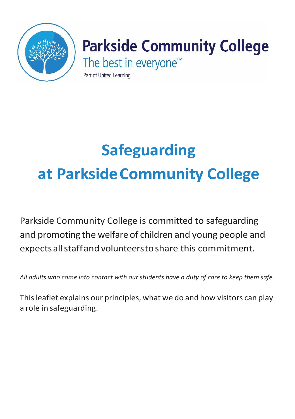

# **Parkside Community College**

The best in everyone<sup>™</sup>

Part of United Learning

# **Safeguarding at ParksideCommunity College**

Parkside Community College is committed to safeguarding and promoting the welfare of children and young people and expectsallstaffand volunteerstoshare this commitment.

*All adults who come into contact with our students have a duty of care to keep them safe.*

Thisleaflet explains our principles, what we do and how visitors can play a role in safeguarding.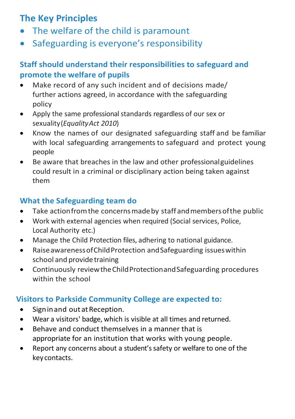# **The Key Principles**

- The welfare of the child is paramount
- Safeguarding is everyone's responsibility

#### **Staff should understand their responsibilities to safeguard and promote the welfare of pupils**

- Make record of any such incident and of decisions made/ further actions agreed, in accordance with the safeguarding policy
- Apply the same professional standards regardless of our sex or sexuality(*EqualityAct 2010*)
- Know the names of our designated safeguarding staff and be familiar with local safeguarding arrangements to safeguard and protect young people
- Be aware that breaches in the law and other professionalguidelines could result in a criminal or disciplinary action being taken against them

## **What the Safeguarding team do**

- Take actionfromthe concernsmadeby staff andmembersofthe public
- Work with external agencies when required (Social services, Police, Local Authority etc.)
- Manage the Child Protection files, adhering to national guidance.
- RaiseawarenessofChildProtection andSafeguarding issueswithin school and provide training
- Continuously reviewtheChildProtectionandSafeguarding procedures within the school

## **Visitors to Parkside Community College are expected to:**

- Signin and out at Reception.
- Wear a visitors' badge, which is visible at all times and returned.
- Behave and conduct themselves in a manner that is appropriate for an institution that works with young people.
- Report any concerns about a student'ssafety or welfare to one of the keycontacts.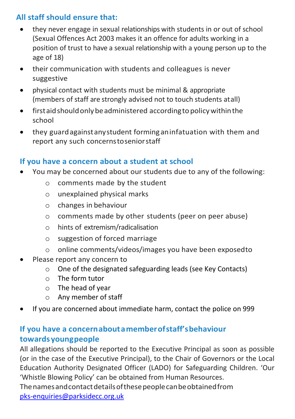#### **All staff should ensure that:**

- they never engage in sexual relationships with students in or out of school (Sexual Offences Act 2003 makes it an offence for adults working in a position of trust to have a sexual relationship with a young person up to the age of 18)
- their communication with students and colleagues is never suggestive
- physical contact with students must be minimal & appropriate (members of staff are strongly advised not to touch students atall)
- first aid should only be administered according to policy within the school
- they guard against any student forming an infatuation with them and report any such concernstoseniorstaff

#### **If you have a concern about a student at school**

- You may be concerned about our students due to any of the following:
	- o comments made by the student
	- o unexplained physical marks
	- o changes in behaviour
	- o comments made by other students (peer on peer abuse)
	- o hints of extremism/radicalisation
	- o suggestion of forced marriage
	- o online comments/videos/images you have been exposedto
- Please report any concern to
	- o One of the designated safeguarding leads (see Key Contacts)
	- $\circ$  The form tutor
	- o The head of year
	- o Any member of staff
- If you are concerned about immediate harm, contact the police on 999

#### **If you have a concernaboutamemberofstaff'sbehaviour towardsyoungpeople**

All allegations should be reported to the Executive Principal as soon as possible (or in the case of the Executive Principal), to the Chair of Governors or the Local Education Authority Designated Officer (LADO) for Safeguarding Children. 'Our 'Whistle Blowing Policy' can be obtained from Human Resources.

Thenamesandcontactdetailsofthesepeoplecanbeobtainedfrom [pks-enquiries@parksidecc.org.uk](mailto:pks-enquiries@parksidecc.org.uk)